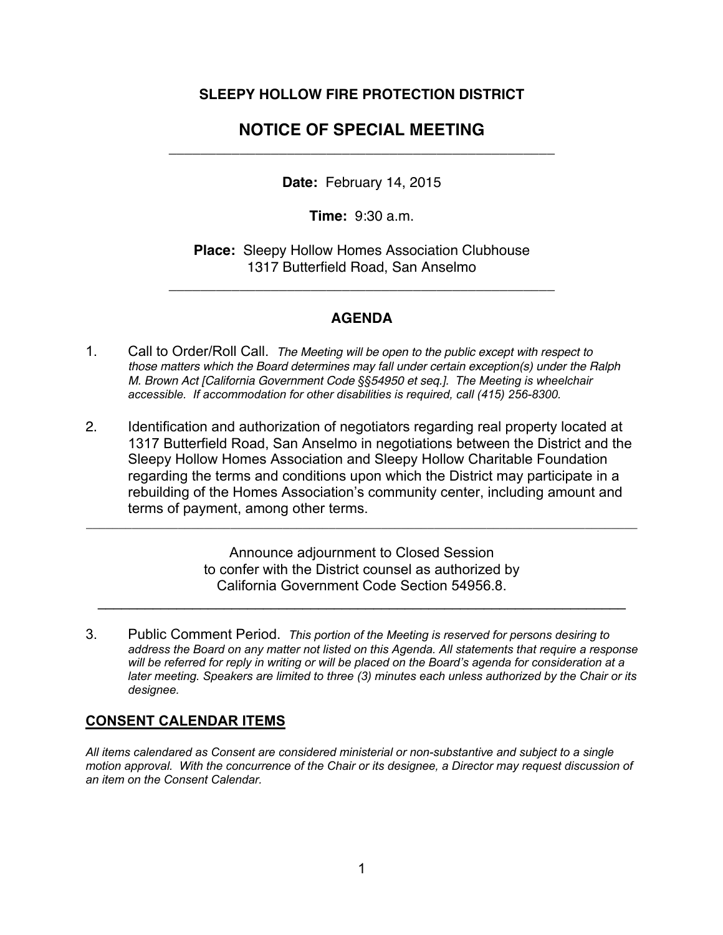### **SLEEPY HOLLOW FIRE PROTECTION DISTRICT**

# **NOTICE OF SPECIAL MEETING**  \_\_\_\_\_\_\_\_\_\_\_\_\_\_\_\_\_\_\_\_\_\_\_\_\_\_\_\_\_\_\_\_\_\_\_\_\_\_\_\_\_\_\_\_\_\_\_\_\_

**Date:** February 14, 2015

**Time:** 9:30 a.m.

**Place:** Sleepy Hollow Homes Association Clubhouse 1317 Butterfield Road, San Anselmo

\_\_\_\_\_\_\_\_\_\_\_\_\_\_\_\_\_\_\_\_\_\_\_\_\_\_\_\_\_\_\_\_\_\_\_\_\_\_\_\_\_\_\_\_\_\_\_\_\_

### **AGENDA**

- 1. Call to Order/Roll Call. *The Meeting will be open to the public except with respect to those matters which the Board determines may fall under certain exception(s) under the Ralph M. Brown Act [California Government Code §§54950 et seq.]. The Meeting is wheelchair accessible. If accommodation for other disabilities is required, call (415) 256-8300.*
- 2. Identification and authorization of negotiators regarding real property located at 1317 Butterfield Road, San Anselmo in negotiations between the District and the Sleepy Hollow Homes Association and Sleepy Hollow Charitable Foundation regarding the terms and conditions upon which the District may participate in a rebuilding of the Homes Association's community center, including amount and terms of payment, among other terms.

Announce adjournment to Closed Session to confer with the District counsel as authorized by California Government Code Section 54956.8.

 $\mathcal{L}_\text{max} = \mathcal{L}_\text{max} = \mathcal{L}_\text{max} = \mathcal{L}_\text{max} = \mathcal{L}_\text{max} = \mathcal{L}_\text{max} = \mathcal{L}_\text{max} = \mathcal{L}_\text{max} = \mathcal{L}_\text{max} = \mathcal{L}_\text{max} = \mathcal{L}_\text{max} = \mathcal{L}_\text{max} = \mathcal{L}_\text{max} = \mathcal{L}_\text{max} = \mathcal{L}_\text{max} = \mathcal{L}_\text{max} = \mathcal{L}_\text{max} = \mathcal{L}_\text{max} = \mathcal{$ 

**\_\_\_\_\_\_\_\_\_\_\_\_\_\_\_\_\_\_\_\_\_\_\_\_\_\_\_\_\_\_\_\_\_\_\_\_\_\_\_\_\_\_\_\_\_\_\_\_\_\_\_\_\_\_\_\_\_\_\_\_\_\_\_\_\_\_\_\_\_\_\_\_\_\_\_\_\_\_\_\_\_\_\_\_**

3. Public Comment Period. *This portion of the Meeting is reserved for persons desiring to address the Board on any matter not listed on this Agenda. All statements that require a response will be referred for reply in writing or will be placed on the Board's agenda for consideration at a later meeting. Speakers are limited to three (3) minutes each unless authorized by the Chair or its designee.* 

### **CONSENT CALENDAR ITEMS**

*All items calendared as Consent are considered ministerial or non-substantive and subject to a single motion approval. With the concurrence of the Chair or its designee, a Director may request discussion of an item on the Consent Calendar.*